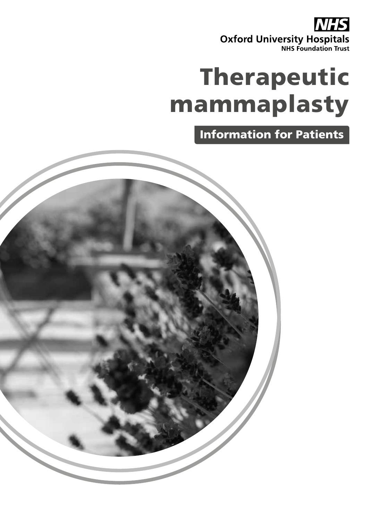**NHS Oxford University Hospitals** 

# Therapeutic mammaplasty

Information for Patients

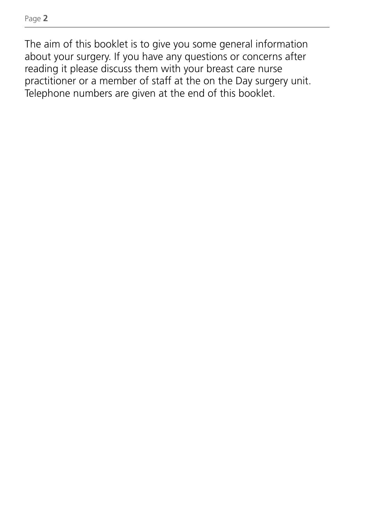The aim of this booklet is to give you some general information about your surgery. If you have any questions or concerns after reading it please discuss them with your breast care nurse practitioner or a member of staff at the on the Day surgery unit. Telephone numbers are given at the end of this booklet.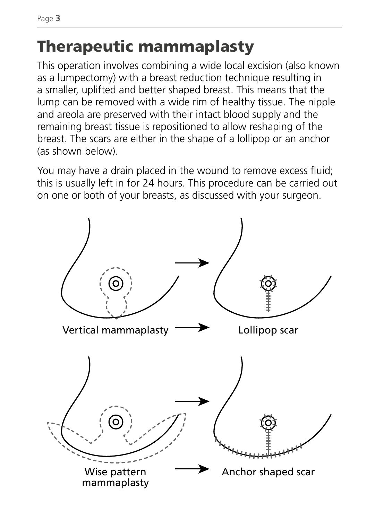Page **3**

# Therapeutic mammaplasty

This operation involves combining a wide local excision (also known as a lumpectomy) with a breast reduction technique resulting in a smaller, uplifted and better shaped breast. This means that the lump can be removed with a wide rim of healthy tissue. The nipple and areola are preserved with their intact blood supply and the remaining breast tissue is repositioned to allow reshaping of the breast. The scars are either in the shape of a lollipop or an anchor (as shown below).

You may have a drain placed in the wound to remove excess fluid; this is usually left in for 24 hours. This procedure can be carried out on one or both of your breasts, as discussed with your surgeon.

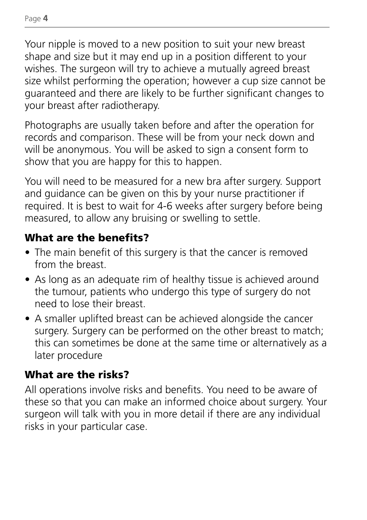Your nipple is moved to a new position to suit your new breast shape and size but it may end up in a position different to your wishes. The surgeon will try to achieve a mutually agreed breast size whilst performing the operation; however a cup size cannot be guaranteed and there are likely to be further significant changes to your breast after radiotherapy.

Photographs are usually taken before and after the operation for records and comparison. These will be from your neck down and will be anonymous. You will be asked to sign a consent form to show that you are happy for this to happen.

You will need to be measured for a new bra after surgery. Support and guidance can be given on this by your nurse practitioner if required. It is best to wait for 4-6 weeks after surgery before being measured, to allow any bruising or swelling to settle.

#### What are the benefits?

- The main benefit of this surgery is that the cancer is removed from the breast.
- As long as an adequate rim of healthy tissue is achieved around the tumour, patients who undergo this type of surgery do not need to lose their breast.
- A smaller uplifted breast can be achieved alongside the cancer surgery. Surgery can be performed on the other breast to match; this can sometimes be done at the same time or alternatively as a later procedure

#### What are the risks?

All operations involve risks and benefits. You need to be aware of these so that you can make an informed choice about surgery. Your surgeon will talk with you in more detail if there are any individual risks in your particular case.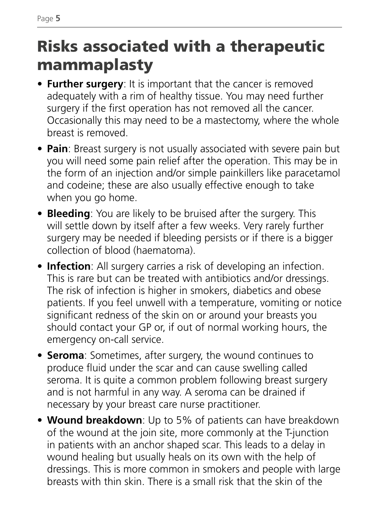## Risks associated with a therapeutic mammaplasty

- **• Further surgery**: It is important that the cancer is removed adequately with a rim of healthy tissue. You may need further surgery if the first operation has not removed all the cancer. Occasionally this may need to be a mastectomy, where the whole breast is removed.
- **• Pain**: Breast surgery is not usually associated with severe pain but you will need some pain relief after the operation. This may be in the form of an injection and/or simple painkillers like paracetamol and codeine; these are also usually effective enough to take when you go home.
- **• Bleeding**: You are likely to be bruised after the surgery. This will settle down by itself after a few weeks. Very rarely further surgery may be needed if bleeding persists or if there is a bigger collection of blood (haematoma).
- **• Infection**: All surgery carries a risk of developing an infection. This is rare but can be treated with antibiotics and/or dressings. The risk of infection is higher in smokers, diabetics and obese patients. If you feel unwell with a temperature, vomiting or notice significant redness of the skin on or around your breasts you should contact your GP or, if out of normal working hours, the emergency on-call service.
- **• Seroma**: Sometimes, after surgery, the wound continues to produce fluid under the scar and can cause swelling called seroma. It is quite a common problem following breast surgery and is not harmful in any way. A seroma can be drained if necessary by your breast care nurse practitioner.
- **• Wound breakdown**: Up to 5% of patients can have breakdown of the wound at the join site, more commonly at the T-junction in patients with an anchor shaped scar. This leads to a delay in wound healing but usually heals on its own with the help of dressings. This is more common in smokers and people with large breasts with thin skin. There is a small risk that the skin of the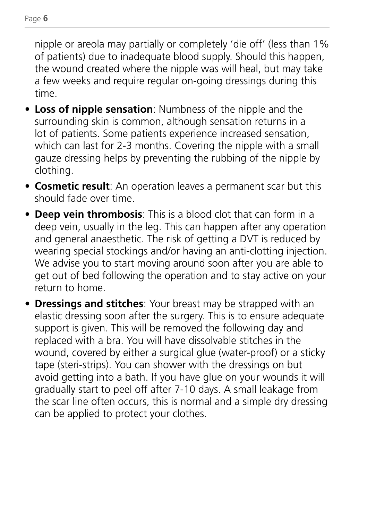nipple or areola may partially or completely 'die off' (less than 1% of patients) due to inadequate blood supply. Should this happen, the wound created where the nipple was will heal, but may take a few weeks and require regular on-going dressings during this time.

- **• Loss of nipple sensation**: Numbness of the nipple and the surrounding skin is common, although sensation returns in a lot of patients. Some patients experience increased sensation, which can last for 2-3 months. Covering the nipple with a small gauze dressing helps by preventing the rubbing of the nipple by clothing.
- **• Cosmetic result**: An operation leaves a permanent scar but this should fade over time.
- **• Deep vein thrombosis**: This is a blood clot that can form in a deep vein, usually in the leg. This can happen after any operation and general anaesthetic. The risk of getting a DVT is reduced by wearing special stockings and/or having an anti-clotting injection. We advise you to start moving around soon after you are able to get out of bed following the operation and to stay active on your return to home.
- **• Dressings and stitches**: Your breast may be strapped with an elastic dressing soon after the surgery. This is to ensure adequate support is given. This will be removed the following day and replaced with a bra. You will have dissolvable stitches in the wound, covered by either a surgical glue (water-proof) or a sticky tape (steri-strips). You can shower with the dressings on but avoid getting into a bath. If you have glue on your wounds it will gradually start to peel off after 7-10 days. A small leakage from the scar line often occurs, this is normal and a simple dry dressing can be applied to protect your clothes.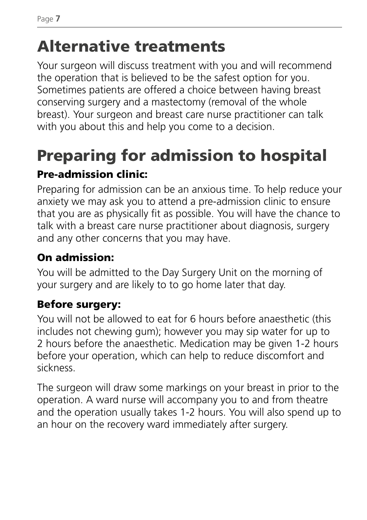## Alternative treatments

Your surgeon will discuss treatment with you and will recommend the operation that is believed to be the safest option for you. Sometimes patients are offered a choice between having breast conserving surgery and a mastectomy (removal of the whole breast). Your surgeon and breast care nurse practitioner can talk with you about this and help you come to a decision.

# Preparing for admission to hospital

#### Pre-admission clinic:

Preparing for admission can be an anxious time. To help reduce your anxiety we may ask you to attend a pre-admission clinic to ensure that you are as physically fit as possible. You will have the chance to talk with a breast care nurse practitioner about diagnosis, surgery and any other concerns that you may have.

#### On admission:

You will be admitted to the Day Surgery Unit on the morning of your surgery and are likely to to go home later that day.

#### Before surgery:

You will not be allowed to eat for 6 hours before anaesthetic (this includes not chewing gum); however you may sip water for up to 2 hours before the anaesthetic. Medication may be given 1-2 hours before your operation, which can help to reduce discomfort and sickness.

The surgeon will draw some markings on your breast in prior to the operation. A ward nurse will accompany you to and from theatre and the operation usually takes 1-2 hours. You will also spend up to an hour on the recovery ward immediately after surgery.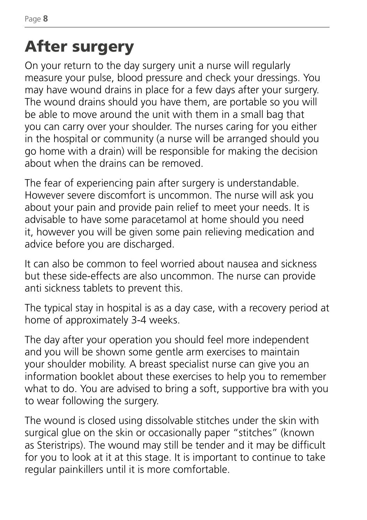# After surgery

On your return to the day surgery unit a nurse will regularly measure your pulse, blood pressure and check your dressings. You may have wound drains in place for a few days after your surgery. The wound drains should you have them, are portable so you will be able to move around the unit with them in a small bag that you can carry over your shoulder. The nurses caring for you either in the hospital or community (a nurse will be arranged should you go home with a drain) will be responsible for making the decision about when the drains can be removed.

The fear of experiencing pain after surgery is understandable. However severe discomfort is uncommon. The nurse will ask you about your pain and provide pain relief to meet your needs. It is advisable to have some paracetamol at home should you need it, however you will be given some pain relieving medication and advice before you are discharged.

It can also be common to feel worried about nausea and sickness but these side-effects are also uncommon. The nurse can provide anti sickness tablets to prevent this.

The typical stay in hospital is as a day case, with a recovery period at home of approximately 3-4 weeks.

The day after your operation you should feel more independent and you will be shown some gentle arm exercises to maintain your shoulder mobility. A breast specialist nurse can give you an information booklet about these exercises to help you to remember what to do. You are advised to bring a soft, supportive bra with you to wear following the surgery.

The wound is closed using dissolvable stitches under the skin with surgical glue on the skin or occasionally paper "stitches" (known as Steristrips). The wound may still be tender and it may be difficult for you to look at it at this stage. It is important to continue to take regular painkillers until it is more comfortable.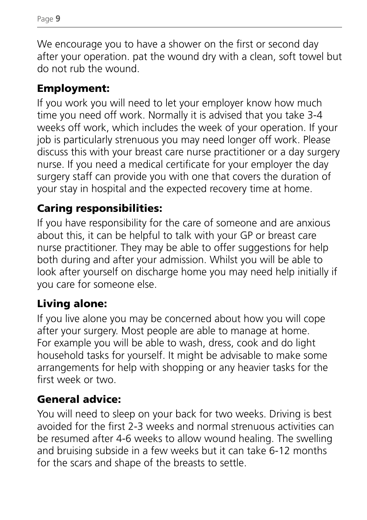We encourage you to have a shower on the first or second day after your operation. pat the wound dry with a clean, soft towel but do not rub the wound.

#### Employment:

If you work you will need to let your employer know how much time you need off work. Normally it is advised that you take 3-4 weeks off work, which includes the week of your operation. If your job is particularly strenuous you may need longer off work. Please discuss this with your breast care nurse practitioner or a day surgery nurse. If you need a medical certificate for your employer the day surgery staff can provide you with one that covers the duration of your stay in hospital and the expected recovery time at home.

#### Caring responsibilities:

If you have responsibility for the care of someone and are anxious about this, it can be helpful to talk with your GP or breast care nurse practitioner. They may be able to offer suggestions for help both during and after your admission. Whilst you will be able to look after yourself on discharge home you may need help initially if you care for someone else.

#### Living alone:

If you live alone you may be concerned about how you will cope after your surgery. Most people are able to manage at home. For example you will be able to wash, dress, cook and do light household tasks for yourself. It might be advisable to make some arrangements for help with shopping or any heavier tasks for the first week or two.

#### General advice:

You will need to sleep on your back for two weeks. Driving is best avoided for the first 2-3 weeks and normal strenuous activities can be resumed after 4-6 weeks to allow wound healing. The swelling and bruising subside in a few weeks but it can take 6-12 months for the scars and shape of the breasts to settle.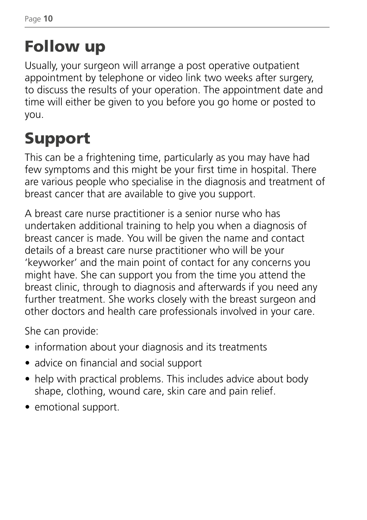# Follow up

Usually, your surgeon will arrange a post operative outpatient appointment by telephone or video link two weeks after surgery, to discuss the results of your operation. The appointment date and time will either be given to you before you go home or posted to you.

# Support

This can be a frightening time, particularly as you may have had few symptoms and this might be your first time in hospital. There are various people who specialise in the diagnosis and treatment of breast cancer that are available to give you support.

A breast care nurse practitioner is a senior nurse who has undertaken additional training to help you when a diagnosis of breast cancer is made. You will be given the name and contact details of a breast care nurse practitioner who will be your 'keyworker' and the main point of contact for any concerns you might have. She can support you from the time you attend the breast clinic, through to diagnosis and afterwards if you need any further treatment. She works closely with the breast surgeon and other doctors and health care professionals involved in your care.

She can provide:

- information about your diagnosis and its treatments
- advice on financial and social support
- help with practical problems. This includes advice about body shape, clothing, wound care, skin care and pain relief.
- emotional support.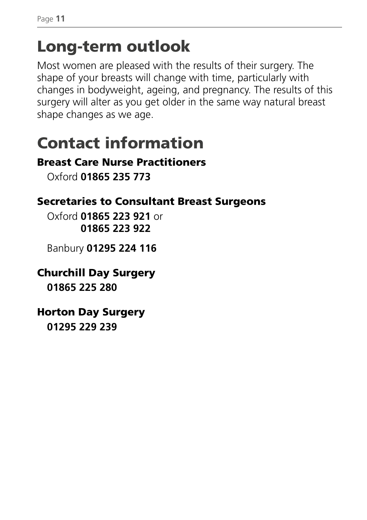### Long-term outlook

Most women are pleased with the results of their surgery. The shape of your breasts will change with time, particularly with changes in bodyweight, ageing, and pregnancy. The results of this surgery will alter as you get older in the same way natural breast shape changes as we age.

## Contact information

#### Breast Care Nurse Practitioners

Oxford **01865 235 773**

#### Secretaries to Consultant Breast Surgeons

Oxford **01865 223 921** or **01865 223 922**

Banbury **01295 224 116**

#### Churchill Day Surgery

**01865 225 280**

#### Horton Day Surgery

**01295 229 239**